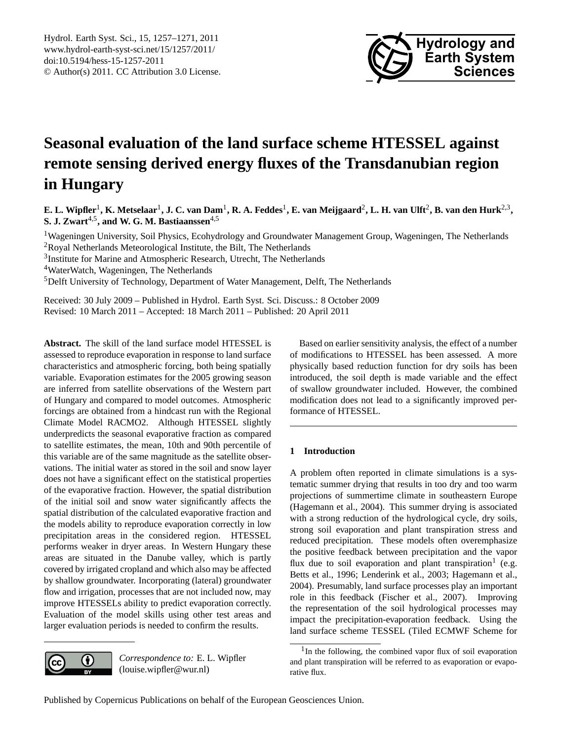

# <span id="page-0-1"></span>**Seasonal evaluation of the land surface scheme HTESSEL against remote sensing derived energy fluxes of the Transdanubian region in Hungary**

 $E$ . L. Wipfler<sup>1</sup>, K. Metselaar<sup>1</sup>, J. C. van Dam<sup>1</sup>, R. A. Feddes<sup>1</sup>, E. van Meijgaard<sup>2</sup>, L. H. van Ulft<sup>2</sup>, B. van den Hurk<sup>2,3</sup>, **S. J. Zwart**4,5**, and W. G. M. Bastiaanssen**4,5

<sup>1</sup>Wageningen University, Soil Physics, Ecohydrology and Groundwater Management Group, Wageningen, The Netherlands <sup>2</sup>Royal Netherlands Meteorological Institute, the Bilt, The Netherlands

<sup>3</sup>Institute for Marine and Atmospheric Research, Utrecht, The Netherlands

<sup>4</sup>WaterWatch, Wageningen, The Netherlands

<sup>5</sup>Delft University of Technology, Department of Water Management, Delft, The Netherlands

Received: 30 July 2009 – Published in Hydrol. Earth Syst. Sci. Discuss.: 8 October 2009 Revised: 10 March 2011 – Accepted: 18 March 2011 – Published: 20 April 2011

**Abstract.** The skill of the land surface model HTESSEL is assessed to reproduce evaporation in response to land surface characteristics and atmospheric forcing, both being spatially variable. Evaporation estimates for the 2005 growing season are inferred from satellite observations of the Western part of Hungary and compared to model outcomes. Atmospheric forcings are obtained from a hindcast run with the Regional Climate Model RACMO2. Although HTESSEL slightly underpredicts the seasonal evaporative fraction as compared to satellite estimates, the mean, 10th and 90th percentile of this variable are of the same magnitude as the satellite observations. The initial water as stored in the soil and snow layer does not have a significant effect on the statistical properties of the evaporative fraction. However, the spatial distribution of the initial soil and snow water significantly affects the spatial distribution of the calculated evaporative fraction and the models ability to reproduce evaporation correctly in low precipitation areas in the considered region. HTESSEL performs weaker in dryer areas. In Western Hungary these areas are situated in the Danube valley, which is partly covered by irrigated cropland and which also may be affected by shallow groundwater. Incorporating (lateral) groundwater flow and irrigation, processes that are not included now, may improve HTESSELs ability to predict evaporation correctly. Evaluation of the model skills using other test areas and larger evaluation periods is needed to confirm the results.



*Correspondence to:* E. L. Wipfler (louise.wipfler@wur.nl)

Based on earlier sensitivity analysis, the effect of a number of modifications to HTESSEL has been assessed. A more physically based reduction function for dry soils has been introduced, the soil depth is made variable and the effect of swallow groundwater included. However, the combined modification does not lead to a significantly improved performance of HTESSEL.

# **1 Introduction**

A problem often reported in climate simulations is a systematic summer drying that results in too dry and too warm projections of summertime climate in southeastern Europe (Hagemann et al., 2004). This summer drying is associated with a strong reduction of the hydrological cycle, dry soils, strong soil evaporation and plant transpiration stress and reduced precipitation. These models often overemphasize the positive feedback between precipitation and the vapor flux due to soil evaporation and plant transpiration<sup>[1](#page-0-0)</sup> (e.g. Betts et al., 1996; Lenderink et al., 2003; Hagemann et al., 2004). Presumably, land surface processes play an important role in this feedback (Fischer et al., 2007). Improving the representation of the soil hydrological processes may impact the precipitation-evaporation feedback. Using the land surface scheme TESSEL (Tiled ECMWF Scheme for

<span id="page-0-0"></span><sup>&</sup>lt;sup>1</sup>In the following, the combined vapor flux of soil evaporation and plant transpiration will be referred to as evaporation or evaporative flux.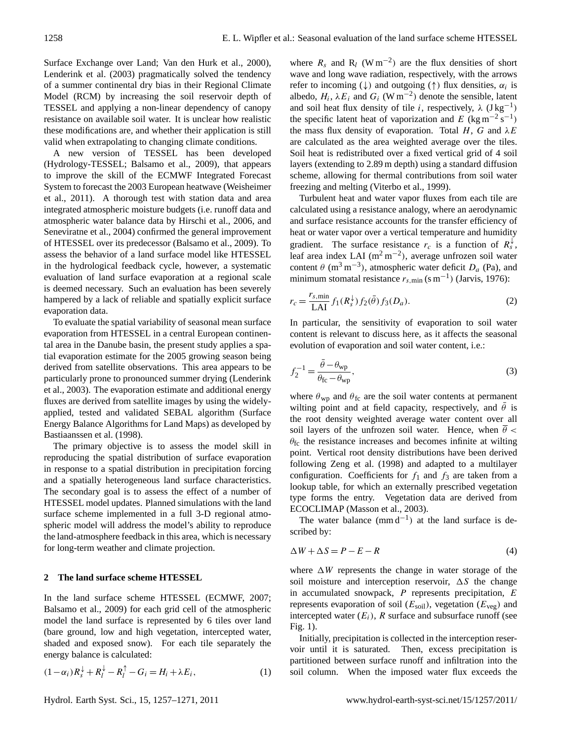Surface Exchange over Land; Van den Hurk et al., 2000), Lenderink et al. (2003) pragmatically solved the tendency of a summer continental dry bias in their Regional Climate Model (RCM) by increasing the soil reservoir depth of TESSEL and applying a non-linear dependency of canopy resistance on available soil water. It is unclear how realistic these modifications are, and whether their application is still valid when extrapolating to changing climate conditions.

A new version of TESSEL has been developed (Hydrology-TESSEL; Balsamo et al., 2009), that appears to improve the skill of the ECMWF Integrated Forecast System to forecast the 2003 European heatwave (Weisheimer et al., 2011). A thorough test with station data and area integrated atmospheric moisture budgets (i.e. runoff data and atmospheric water balance data by Hirschi et al., 2006, and Seneviratne et al., 2004) confirmed the general improvement of HTESSEL over its predecessor (Balsamo et al., 2009). To assess the behavior of a land surface model like HTESSEL in the hydrological feedback cycle, however, a systematic evaluation of land surface evaporation at a regional scale is deemed necessary. Such an evaluation has been severely hampered by a lack of reliable and spatially explicit surface evaporation data.

To evaluate the spatial variability of seasonal mean surface evaporation from HTESSEL in a central European continental area in the Danube basin, the present study applies a spatial evaporation estimate for the 2005 growing season being derived from satellite observations. This area appears to be particularly prone to pronounced summer drying (Lenderink et al., 2003). The evaporation estimate and additional energy fluxes are derived from satellite images by using the widelyapplied, tested and validated SEBAL algorithm (Surface Energy Balance Algorithms for Land Maps) as developed by Bastiaanssen et al. (1998).

The primary objective is to assess the model skill in reproducing the spatial distribution of surface evaporation in response to a spatial distribution in precipitation forcing and a spatially heterogeneous land surface characteristics. The secondary goal is to assess the effect of a number of HTESSEL model updates. Planned simulations with the land surface scheme implemented in a full 3-D regional atmospheric model will address the model's ability to reproduce the land-atmosphere feedback in this area, which is necessary for long-term weather and climate projection.

## **2 The land surface scheme HTESSEL**

In the land surface scheme HTESSEL (ECMWF, 2007; Balsamo et al., 2009) for each grid cell of the atmospheric model the land surface is represented by 6 tiles over land (bare ground, low and high vegetation, intercepted water, shaded and exposed snow). For each tile separately the energy balance is calculated:

$$
(1 - \alpha_i)R_s^{\downarrow} + R_l^{\downarrow} - R_l^{\uparrow} - G_i = H_i + \lambda E_i, \tag{1}
$$

where  $R_s$  and  $R_l$  (W m<sup>-2</sup>) are the flux densities of short wave and long wave radiation, respectively, with the arrows refer to incoming ( $\downarrow$ ) and outgoing ( $\uparrow$ ) flux densities,  $\alpha_i$  is albedo,  $H_i$ ,  $\lambda E_i$  and  $G_i$  (W m<sup>-2</sup>) denote the sensible, latent and soil heat flux density of tile i, respectively,  $\lambda$  (J kg<sup>-1</sup>) the specific latent heat of vaporization and E (kg m<sup>-2</sup> s<sup>-1</sup>) the mass flux density of evaporation. Total H, G and  $\lambda E$ are calculated as the area weighted average over the tiles. Soil heat is redistributed over a fixed vertical grid of 4 soil layers (extending to 2.89 m depth) using a standard diffusion scheme, allowing for thermal contributions from soil water freezing and melting (Viterbo et al., 1999).

Turbulent heat and water vapor fluxes from each tile are calculated using a resistance analogy, where an aerodynamic and surface resistance accounts for the transfer efficiency of heat or water vapor over a vertical temperature and humidity gradient. The surface resistance  $r_c$  is a function of  $R_s^{\downarrow}$ , leaf area index LAI ( $m<sup>2</sup> m<sup>-2</sup>$ ), average unfrozen soil water content  $\theta$  (m<sup>3</sup> m<sup>-3</sup>), atmospheric water deficit  $D_a$  (Pa), and minimum stomatal resistance  $r_{s,\text{min}}$  (s m<sup>-1</sup>) (Jarvis, 1976):

$$
r_c = \frac{r_{s,\min}}{\text{LAI}} f_1(R_s^{\downarrow}) f_2(\bar{\theta}) f_3(D_a). \tag{2}
$$

In particular, the sensitivity of evaporation to soil water content is relevant to discuss here, as it affects the seasonal evolution of evaporation and soil water content, i.e.:

$$
f_2^{-1} = \frac{\bar{\theta} - \theta_{\rm wp}}{\theta_{\rm fc} - \theta_{\rm wp}},\tag{3}
$$

where  $\theta_{wp}$  and  $\theta_{fc}$  are the soil water contents at permanent wilting point and at field capacity, respectively, and  $\bar{\theta}$  is the root density weighted average water content over all soil layers of the unfrozen soil water. Hence, when  $\theta$  <  $\theta_{\rm fc}$  the resistance increases and becomes infinite at wilting point. Vertical root density distributions have been derived following Zeng et al. (1998) and adapted to a multilayer configuration. Coefficients for  $f_1$  and  $f_3$  are taken from a lookup table, for which an externally prescribed vegetation type forms the entry. Vegetation data are derived from ECOCLIMAP (Masson et al., 2003).

The water balance  $(mm d^{-1})$  at the land surface is described by:

$$
\Delta W + \Delta S = P - E - R \tag{4}
$$

where  $\Delta W$  represents the change in water storage of the soil moisture and interception reservoir,  $\Delta S$  the change in accumulated snowpack, P represents precipitation, E represents evaporation of soil  $(E_{\text{soil}})$ , vegetation  $(E_{\text{veg}})$  and intercepted water  $(E_i)$ , R surface and subsurface runoff (see Fig. 1).

Initially, precipitation is collected in the interception reservoir until it is saturated. Then, excess precipitation is partitioned between surface runoff and infiltration into the soil column. When the imposed water flux exceeds the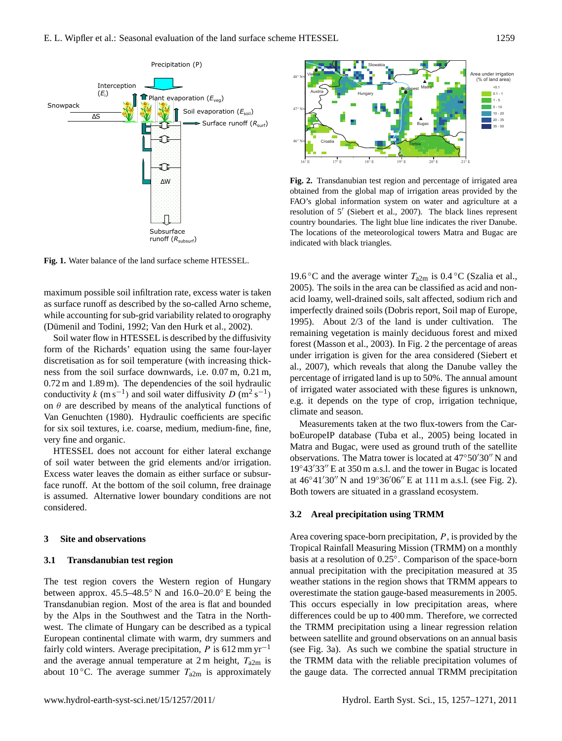

**Fig. 1.** Water balance of the land surface scheme HTESSEL.

while accounting for sub-grid variability related to orography maximum possible soil infiltration rate, excess water is taken as surface runoff as described by the so-called Arno scheme, (Dümenil and Todini, 1992; Van den Hurk et al., 2002).

Soil water flow in HTESSEL is described by the diffusivity form of the Richards' equation using the same four-layer discretisation as for soil temperature (with increasing thickness from the soil surface downwards, i.e. 0.07 m, 0.21 m, 0.72 m and 1.89 m). The dependencies of the soil hydraulic conductivity k (m s<sup>-1</sup>) and soil water diffusivity D (m<sup>2</sup> s<sup>-1</sup>) on  $\theta$  are described by means of the analytical functions of Van Genuchten (1980). Hydraulic coefficients are specific for six soil textures, i.e. coarse, medium, medium-fine, fine, very fine and organic.

HTESSEL does not account for either lateral exchange of soil water between the grid elements and/or irrigation. Excess water leaves the domain as either surface or subsurface runoff. At the bottom of the soil column, free drainage is assumed. Alternative lower boundary conditions are not considered.

## **3 Site and observations**

## **3.1 Transdanubian test region**

The test region covers the Western region of Hungary between approx.  $45.5-48.5°$  N and  $16.0-20.0°$  E being the Transdanubian region. Most of the area is flat and bounded by the Alps in the Southwest and the Tatra in the Northwest. The climate of Hungary can be described as a typical European continental climate with warm, dry summers and fairly cold winters. Average precipitation, P is  $612 \text{ mm yr}^{-1}$ and the average annual temperature at  $2 \text{ m}$  height,  $T_{a2m}$  is about 10 °C. The average summer  $T_{a2m}$  is approximately



**Fig. 2.** Transdanubian test region and percentage of irrigated area obtained from the global map of irrigation areas provided by the FAO's global information system on water and agriculture at a resolution of 5' (Siebert et al., 2007). The black lines represent country boundaries. The light blue line indicates the river Danube. The locations of the meteorological towers Matra and Bugac are indicated with black triangles.

19.6 °C and the average winter  $T_{a2m}$  is 0.4 °C (Szalia et al., 2005). The soils in the area can be classified as acid and nonacid loamy, well-drained soils, salt affected, sodium rich and imperfectly drained soils (Dobris report, Soil map of Europe, 1995). About 2/3 of the land is under cultivation. The remaining vegetation is mainly deciduous forest and mixed forest (Masson et al., 2003). In Fig. 2 the percentage of areas under irrigation is given for the area considered (Siebert et al., 2007), which reveals that along the Danube valley the percentage of irrigated land is up to 50%. The annual amount of irrigated water associated with these figures is unknown, e.g. it depends on the type of crop, irrigation technique, climate and season.

Measurements taken at the two flux-towers from the CarboEuropeIP database (Tuba et al., 2005) being located in Matra and Bugac, were used as ground truth of the satellite observations. The Matra tower is located at  $47°50'30''$  N and  $19°43'33''$  E at 350 m a.s.l. and the tower in Bugac is located at  $46°41'30''$  N and  $19°36'06''$  E at 111 m a.s.l. (see Fig. 2). Both towers are situated in a grassland ecosystem.

## **3.2 Areal precipitation using TRMM**

Area covering space-born precipitation,  $P$ , is provided by the Tropical Rainfall Measuring Mission (TRMM) on a monthly basis at a resolution of 0.25◦ . Comparison of the space-born annual precipitation with the precipitation measured at 35 weather stations in the region shows that TRMM appears to overestimate the station gauge-based measurements in 2005. This occurs especially in low precipitation areas, where differences could be up to 400 mm. Therefore, we corrected the TRMM precipitation using a linear regression relation between satellite and ground observations on an annual basis (see Fig. 3a). As such we combine the spatial structure in the TRMM data with the reliable precipitation volumes of the gauge data. The corrected annual TRMM precipitation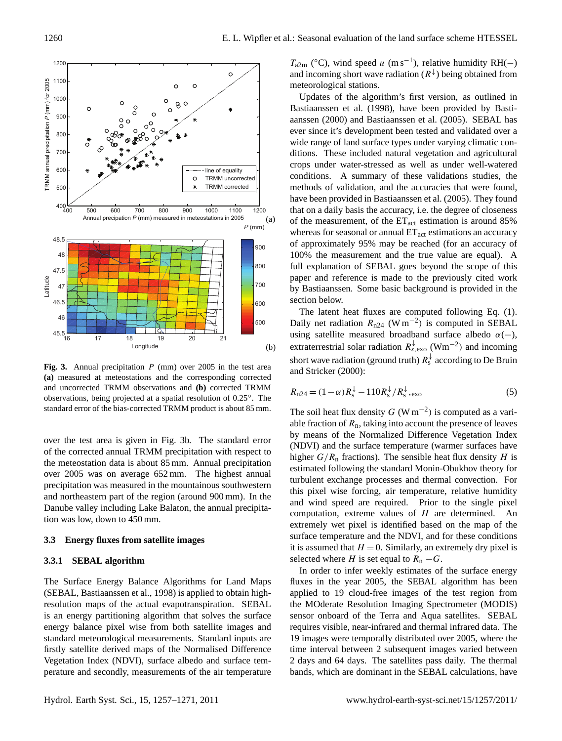

Fig. 3. Annual precipitation P (mm) over 2005 in the test area **(a)** measured at meteostations and the corresponding corrected and uncorrected TRMM observations and **(b)** corrected TRMM observations, being projected at a spatial resolution of 0.25◦ . The standard error of the bias-corrected TRMM product is about 85 mm.

over the test area is given in Fig. 3b. The standard error of the corrected annual TRMM precipitation with respect to the meteostation data is about 85 mm. Annual precipitation over 2005 was on average 652 mm. The highest annual precipitation was measured in the mountainous southwestern and northeastern part of the region (around 900 mm). In the Danube valley including Lake Balaton, the annual precipitation was low, down to 450 mm.

#### **3.3 Energy fluxes from satellite images**

## **3.3.1 SEBAL algorithm**

The Surface Energy Balance Algorithms for Land Maps (SEBAL, Bastiaanssen et al., 1998) is applied to obtain highresolution maps of the actual evapotranspiration. SEBAL is an energy partitioning algorithm that solves the surface energy balance pixel wise from both satellite images and standard meteorological measurements. Standard inputs are firstly satellite derived maps of the Normalised Difference Vegetation Index (NDVI), surface albedo and surface temperature and secondly, measurements of the air temperature

 $T_{\text{a2m}}$  (°C), wind speed u (m s<sup>-1</sup>), relative humidity RH(-) and incoming short wave radiation  $(R^{\downarrow})$  being obtained from meteorological stations.

Updates of the algorithm's first version, as outlined in Bastiaanssen et al. (1998), have been provided by Bastiaanssen (2000) and Bastiaanssen et al. (2005). SEBAL has ever since it's development been tested and validated over a wide range of land surface types under varying climatic conditions. These included natural vegetation and agricultural crops under water-stressed as well as under well-watered conditions. A summary of these validations studies, the methods of validation, and the accuracies that were found, have been provided in Bastiaanssen et al. (2005). They found that on a daily basis the accuracy, i.e. the degree of closeness of the measurement, of the  $ET_{act}$  estimation is around 85% whereas for seasonal or annual  $ET<sub>act</sub>$  estimations an accuracy of approximately 95% may be reached (for an accuracy of 100% the measurement and the true value are equal). A full explanation of SEBAL goes beyond the scope of this paper and reference is made to the previously cited work by Bastiaanssen. Some basic background is provided in the section below.

The latent heat fluxes are computed following Eq. (1). Daily net radiation  $R_{n24}$  (W m<sup>-2</sup>) is computed in SEBAL using satellite measured broadband surface albedo  $\alpha(-)$ , extraterrestrial solar radiation  $R_{s, \text{exo}}^{\downarrow}$  (Wm<sup>-2</sup>) and incoming short wave radiation (ground truth)  $R_s^{\downarrow}$  according to De Bruin and Stricker (2000):

$$
R_{n24} = (1 - \alpha) R_s^{\downarrow} - 110 R_s^{\downarrow} / R_s^{\downarrow}, \text{exo}
$$
 (5)

The soil heat flux density  $G$  (W m<sup>-2</sup>) is computed as a variable fraction of  $R_n$ , taking into account the presence of leaves by means of the Normalized Difference Vegetation Index (NDVI) and the surface temperature (warmer surfaces have higher  $G/R_n$  fractions). The sensible heat flux density H is estimated following the standard Monin-Obukhov theory for turbulent exchange processes and thermal convection. For this pixel wise forcing, air temperature, relative humidity and wind speed are required. Prior to the single pixel computation, extreme values of  $H$  are determined. An extremely wet pixel is identified based on the map of the surface temperature and the NDVI, and for these conditions it is assumed that  $H = 0$ . Similarly, an extremely dry pixel is selected where H is set equal to  $R_n - G$ .

In order to infer weekly estimates of the surface energy fluxes in the year 2005, the SEBAL algorithm has been applied to 19 cloud-free images of the test region from the MOderate Resolution Imaging Spectrometer (MODIS) sensor onboard of the Terra and Aqua satellites. SEBAL requires visible, near-infrared and thermal infrared data. The 19 images were temporally distributed over 2005, where the time interval between 2 subsequent images varied between 2 days and 64 days. The satellites pass daily. The thermal bands, which are dominant in the SEBAL calculations, have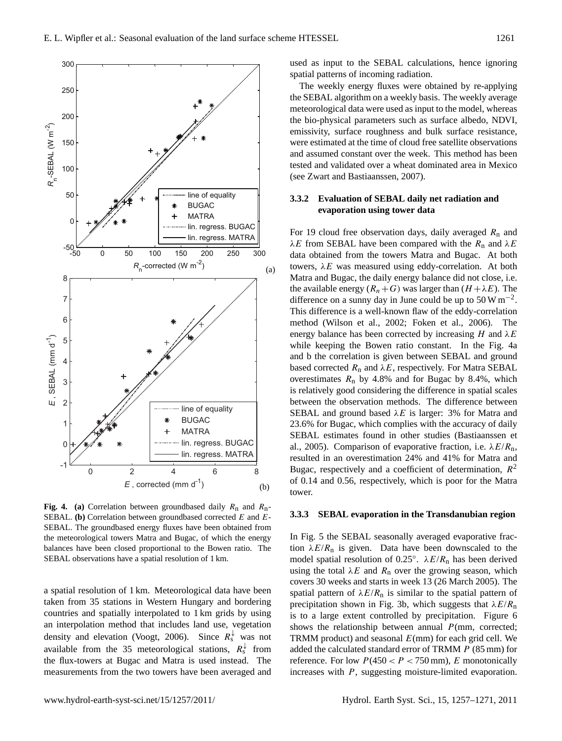

**Fig. 4.** (a) Correlation between groundbased daily  $R_n$  and  $R_n$ -SEBAL. **(b)** Correlation between groundbased corrected E and E-SEBAL. The groundbased energy fluxes have been obtained from the meteorological towers Matra and Bugac, of which the energy balances have been closed proportional to the Bowen ratio. The SEBAL observations have a spatial resolution of 1 km.

a spatial resolution of 1 km. Meteorological data have been taken from 35 stations in Western Hungary and bordering countries and spatially interpolated to 1 km grids by using an interpolation method that includes land use, vegetation density and elevation (Voogt, 2006). Since  $R_s^{\downarrow}$  was not available from the 35 meteorological stations,  $R_s^{\downarrow}$  from the flux-towers at Bugac and Matra is used instead. The measurements from the two towers have been averaged and used as input to the SEBAL calculations, hence ignoring spatial patterns of incoming radiation.

The weekly energy fluxes were obtained by re-applying the SEBAL algorithm on a weekly basis. The weekly average meteorological data were used as input to the model, whereas the bio-physical parameters such as surface albedo, NDVI, emissivity, surface roughness and bulk surface resistance, were estimated at the time of cloud free satellite observations and assumed constant over the week. This method has been tested and validated over a wheat dominated area in Mexico (see Zwart and Bastiaanssen, 2007).

## **3.3.2 Evaluation of SEBAL daily net radiation and evaporation using tower data**

For 19 cloud free observation days, daily averaged  $R_n$  and  $\lambda E$  from SEBAL have been compared with the  $R_n$  and  $\lambda E$ data obtained from the towers Matra and Bugac. At both towers,  $\lambda E$  was measured using eddy-correlation. At both Matra and Bugac, the daily energy balance did not close, i.e. the available energy  $(R_n+G)$  was larger than  $(H+\lambda E)$ . The difference on a sunny day in June could be up to  $50 \,\mathrm{W m}^{-2}$ . This difference is a well-known flaw of the eddy-correlation method (Wilson et al., 2002; Foken et al., 2006). The energy balance has been corrected by increasing H and  $\lambda E$ while keeping the Bowen ratio constant. In the Fig. 4a and b the correlation is given between SEBAL and ground based corrected  $R_n$  and  $\lambda E$ , respectively. For Matra SEBAL overestimates  $R_n$  by 4.8% and for Bugac by 8.4%, which is relatively good considering the difference in spatial scales between the observation methods. The difference between SEBAL and ground based  $\lambda E$  is larger: 3% for Matra and 23.6% for Bugac, which complies with the accuracy of daily SEBAL estimates found in other studies (Bastiaanssen et al., 2005). Comparison of evaporative fraction, i.e.  $\lambda E/R_n$ , resulted in an overestimation 24% and 41% for Matra and Bugac, respectively and a coefficient of determination,  $R^2$ of 0.14 and 0.56, respectively, which is poor for the Matra tower.

## **3.3.3 SEBAL evaporation in the Transdanubian region**

In Fig. 5 the SEBAL seasonally averaged evaporative fraction  $\lambda E/R_n$  is given. Data have been downscaled to the model spatial resolution of 0.25°.  $\lambda E/R_{\text{n}}$  has been derived using the total  $\lambda E$  and  $R_n$  over the growing season, which covers 30 weeks and starts in week 13 (26 March 2005). The spatial pattern of  $\lambda E/R_n$  is similar to the spatial pattern of precipitation shown in Fig. 3b, which suggests that  $\lambda E/R_{\rm n}$ is to a large extent controlled by precipitation. Figure 6 shows the relationship between annual  $P(\text{mm}, \text{ corrected};$ TRMM product) and seasonal  $E$ (mm) for each grid cell. We added the calculated standard error of TRMM P (85 mm) for reference. For low  $P(450 < P < 750$  mm), E monotonically increases with P, suggesting moisture-limited evaporation.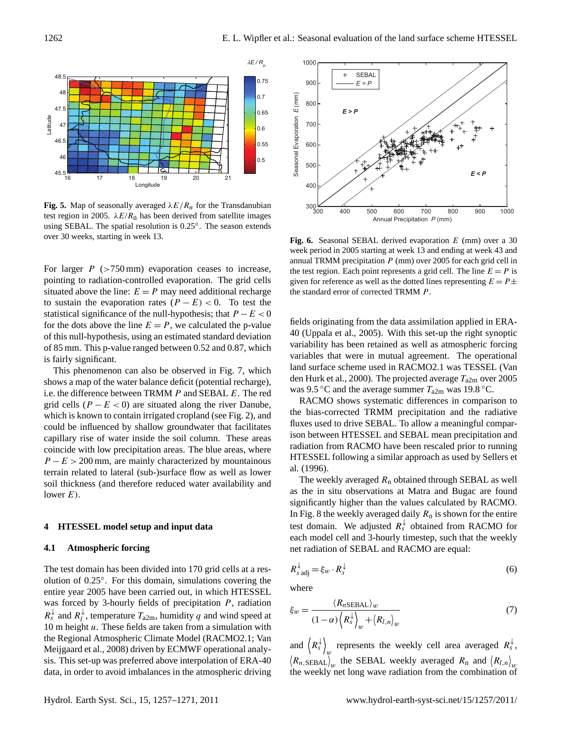

**Fig. 5.** Map of seasonally averaged  $\lambda E/R_n$  for the Transdanubian test region in 2005.  $\lambda E/R$ <sub>n</sub> has been derived from satellite images using SEBAL. The spatial resolution is 0.25°. The season extends over 30 weeks, starting in week 13.

For larger  $P$  ( $>750 \text{ mm}$ ) evaporation ceases to increase, pointing to radiation-controlled evaporation. The grid cells situated above the line:  $E = P$  may need additional recharge to sustain the evaporation rates  $(P - E) < 0$ . To test the statistical significance of the null-hypothesis; that  $P - E < 0$ for the dots above the line  $E = P$ , we calculated the p-value of this null-hypothesis, using an estimated standard deviation of 85 mm. This p-value ranged between 0.52 and 0.87, which is fairly significant.

This phenomenon can also be observed in Fig. 7, which shows a map of the water balance deficit (potential recharge), i.e. the difference between TRMM P and SEBAL E. The red grid cells ( $P - E < 0$ ) are situated along the river Danube, which is known to contain irrigated cropland (see Fig. 2), and could be influenced by shallow groundwater that facilitates capillary rise of water inside the soil column. These areas coincide with low precipitation areas. The blue areas, where  $P - E > 200$  mm, are mainly characterized by mountainous terrain related to lateral (sub-)surface flow as well as lower soil thickness (and therefore reduced water availability and lower  $E$ ).

#### **4 HTESSEL model setup and input data**

## **4.1 Atmospheric forcing**

The test domain has been divided into 170 grid cells at a resolution of 0.25◦ . For this domain, simulations covering the entire year 2005 have been carried out, in which HTESSEL was forced by 3-hourly fields of precipitation  $P$ , radiation  $R_s^{\downarrow}$  and  $R_l^{\downarrow}$  $\mu_l^*$ , temperature  $T_{a2m}$ , humidity q and wind speed at 10 m height u. These fields are taken from a simulation with the Regional Atmospheric Climate Model (RACMO2.1; Van Meijgaard et al., 2008) driven by ECMWF operational analysis. This set-up was preferred above interpolation of ERA-40 data, in order to avoid imbalances in the atmospheric driving



**Fig. 6.** Seasonal SEBAL derived evaporation E (mm) over a 30 week period in 2005 starting at week 13 and ending at week 43 and annual TRMM precipitation  $P$  (mm) over 2005 for each grid cell in the test region. Each point represents a grid cell. The line  $E = P$  is given for reference as well as the dotted lines representing  $E = P \pm$ the standard error of corrected TRMM P.

fields originating from the data assimilation applied in ERA-40 (Uppala et al., 2005). With this set-up the right synoptic variability has been retained as well as atmospheric forcing variables that were in mutual agreement. The operational land surface scheme used in RACMO2.1 was TESSEL (Van den Hurk et al., 2000). The projected average  $T_{a2m}$  over 2005 was 9.5 °C and the average summer  $T_{a2m}$  was 19.8 °C.

RACMO shows systematic differences in comparison to the bias-corrected TRMM precipitation and the radiative fluxes used to drive SEBAL. To allow a meaningful comparison between HTESSEL and SEBAL mean precipitation and radiation from RACMO have been rescaled prior to running HTESSEL following a similar approach as used by Sellers et al. (1996).

The weekly averaged  $R_n$  obtained through SEBAL as well as the in situ observations at Matra and Bugac are found significantly higher than the values calculated by RACMO. In Fig. 8 the weekly averaged daily  $R_n$  is shown for the entire test domain. We adjusted  $R_s^{\downarrow}$  obtained from RACMO for each model cell and 3-hourly timestep, such that the weekly net radiation of SEBAL and RACMO are equal:

$$
R_{s \text{ adj}}^{\downarrow} = \xi_w \cdot R_s^{\downarrow} \tag{6}
$$

where

$$
\xi_w = \frac{\langle R_{n\text{SEBAL}} \rangle_w}{(1 - \alpha) \left\langle R_s^{\downarrow} \right\rangle_w + \left\langle R_{l,n} \right\rangle_w} \tag{7}
$$

and  $\langle R_s^{\downarrow} \rangle$ represents the weekly cell area averaged  $R_s^{\downarrow}$ ,  $(R_{n,\text{SEBAL}})_{w}$  the SEBAL weekly averaged  $R_{n}$  and  $(R_{l,n})_{w}$ the weekly net long wave radiation from the combination of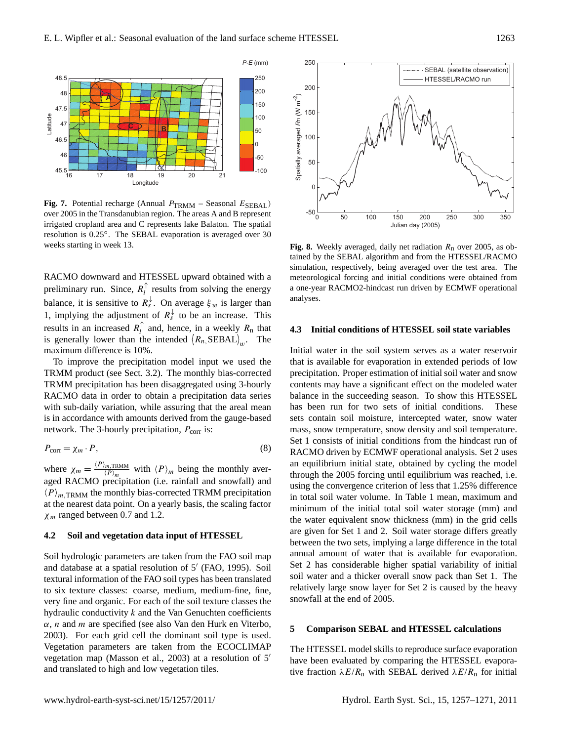

**Fig. 7.** Potential recharge (Annual  $P_{TRMM}$  – Seasonal  $E_{SEBAL}$ ) over 2005 in the Transdanubian region. The areas A and B represent irrigated cropland area and C represents lake Balaton. The spatial resolution is 0.25◦ . The SEBAL evaporation is averaged over 30 weeks starting in week 13.

RACMO downward and HTESSEL upward obtained with a preliminary run. Since,  $R_l^{\uparrow}$  $\frac{1}{l}$  results from solving the energy balance, it is sensitive to  $R_s^{\downarrow}$ . On average  $\xi_w$  is larger than 1, implying the adjustment of  $R_s^{\downarrow}$  to be an increase. This results in an increased  $R_l^{\uparrow}$ and, hence, in a weekly  $R_n$  that is generally lower than the intended  $(R_n, \text{SEBAL})_w$ . The maximum difference is 10%.

To improve the precipitation model input we used the TRMM product (see Sect. 3.2). The monthly bias-corrected TRMM precipitation has been disaggregated using 3-hourly RACMO data in order to obtain a precipitation data series with sub-daily variation, while assuring that the areal mean is in accordance with amounts derived from the gauge-based network. The 3-hourly precipitation,  $P_{\text{corr}}$  is:

$$
P_{\text{corr}} = \chi_m \cdot P,\tag{8}
$$

where  $\chi_m = \frac{\langle P \rangle_{m, \text{TRMM}}}{\langle P \rangle_{m}}$  $\frac{m,\text{TRMM}}{\langle P \rangle_m}$  with  $\langle P \rangle_m$  being the monthly averaged RACMO precipitation (i.e. rainfall and snowfall) and  $\langle P \rangle_{m,TRMM}$  the monthly bias-corrected TRMM precipitation at the nearest data point. On a yearly basis, the scaling factor  $\chi$ <sub>m</sub> ranged between 0.7 and 1.2.

#### **4.2 Soil and vegetation data input of HTESSEL**

Soil hydrologic parameters are taken from the FAO soil map and database at a spatial resolution of 5' (FAO, 1995). Soil textural information of the FAO soil types has been translated to six texture classes: coarse, medium, medium-fine, fine, very fine and organic. For each of the soil texture classes the hydraulic conductivity  $k$  and the Van Genuchten coefficients  $\alpha$ , *n* and *m* are specified (see also Van den Hurk en Viterbo, 2003). For each grid cell the dominant soil type is used. Vegetation parameters are taken from the ECOCLIMAP vegetation map (Masson et al., 2003) at a resolution of  $5'$ and translated to high and low vegetation tiles.



**Fig. 8.** Weekly averaged, daily net radiation  $R_n$  over 2005, as obtained by the SEBAL algorithm and from the HTESSEL/RACMO simulation, respectively, being averaged over the test area. The meteorological forcing and initial conditions were obtained from a one-year RACMO2-hindcast run driven by ECMWF operational analyses.

## **4.3 Initial conditions of HTESSEL soil state variables**

Initial water in the soil system serves as a water reservoir that is available for evaporation in extended periods of low precipitation. Proper estimation of initial soil water and snow contents may have a significant effect on the modeled water balance in the succeeding season. To show this HTESSEL has been run for two sets of initial conditions. These sets contain soil moisture, intercepted water, snow water mass, snow temperature, snow density and soil temperature. Set 1 consists of initial conditions from the hindcast run of RACMO driven by ECMWF operational analysis. Set 2 uses an equilibrium initial state, obtained by cycling the model through the 2005 forcing until equilibrium was reached, i.e. using the convergence criterion of less that 1.25% difference in total soil water volume. In Table 1 mean, maximum and minimum of the initial total soil water storage (mm) and the water equivalent snow thickness (mm) in the grid cells are given for Set 1 and 2. Soil water storage differs greatly between the two sets, implying a large difference in the total annual amount of water that is available for evaporation. Set 2 has considerable higher spatial variability of initial soil water and a thicker overall snow pack than Set 1. The relatively large snow layer for Set 2 is caused by the heavy snowfall at the end of 2005.

## **5 Comparison SEBAL and HTESSEL calculations**

The HTESSEL model skills to reproduce surface evaporation have been evaluated by comparing the HTESSEL evaporative fraction  $\lambda E/R_n$  with SEBAL derived  $\lambda E/R_n$  for initial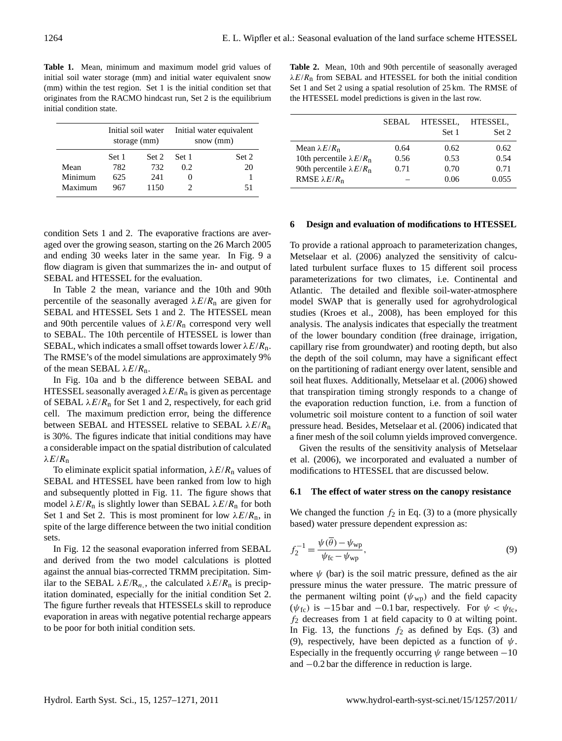**Table 1.** Mean, minimum and maximum model grid values of initial soil water storage (mm) and initial water equivalent snow (mm) within the test region. Set 1 is the initial condition set that originates from the RACMO hindcast run, Set 2 is the equilibrium initial condition state.

|         |       | Initial soil water<br>storage (mm) | Initial water equivalent<br>snow (mm) |       |  |
|---------|-------|------------------------------------|---------------------------------------|-------|--|
|         | Set 1 | Set 2                              | Set 1                                 | Set 2 |  |
| Mean    | 782   | 732                                | 0.2                                   | 20    |  |
| Minimum | 625   | 241                                |                                       |       |  |
| Maximum | 967   | 1150                               |                                       | 51    |  |

condition Sets 1 and 2. The evaporative fractions are averaged over the growing season, starting on the 26 March 2005 and ending 30 weeks later in the same year. In Fig. 9 a flow diagram is given that summarizes the in- and output of SEBAL and HTESSEL for the evaluation.

In Table 2 the mean, variance and the 10th and 90th percentile of the seasonally averaged  $\lambda E/R_{\text{n}}$  are given for SEBAL and HTESSEL Sets 1 and 2. The HTESSEL mean and 90th percentile values of  $\lambda E/R$ <sub>n</sub> correspond very well to SEBAL. The 10th percentile of HTESSEL is lower than SEBAL, which indicates a small offset towards lower  $\lambda E/R_n$ . The RMSE's of the model simulations are approximately 9% of the mean SEBAL  $\lambda E/R$ <sub>n</sub>.

In Fig. 10a and b the difference between SEBAL and HTESSEL seasonally averaged  $\lambda E/R$ <sub>n</sub> is given as percentage of SEBAL  $\lambda E/R_n$  for Set 1 and 2, respectively, for each grid cell. The maximum prediction error, being the difference between SEBAL and HTESSEL relative to SEBAL  $\lambda E/R_{\text{n}}$ is 30%. The figures indicate that initial conditions may have a considerable impact on the spatial distribution of calculated  $λE/R<sub>n</sub>$ 

To eliminate explicit spatial information,  $\lambda E/R_n$  values of SEBAL and HTESSEL have been ranked from low to high and subsequently plotted in Fig. 11. The figure shows that model  $\lambda E/R_n$  is slightly lower than SEBAL  $\lambda E/R_n$  for both Set 1 and Set 2. This is most prominent for low  $\lambda E/R_n$ , in spite of the large difference between the two initial condition sets.

In Fig. 12 the seasonal evaporation inferred from SEBAL and derived from the two model calculations is plotted against the annual bias-corrected TRMM precipitation. Similar to the SEBAL  $\lambda E/R_n$ , the calculated  $\lambda E/R_n$  is precipitation dominated, especially for the initial condition Set 2. The figure further reveals that HTESSELs skill to reproduce evaporation in areas with negative potential recharge appears to be poor for both initial condition sets.

**Table 2.** Mean, 10th and 90th percentile of seasonally averaged  $\lambda E/R$ <sub>n</sub> from SEBAL and HTESSEL for both the initial condition Set 1 and Set 2 using a spatial resolution of 25 km. The RMSE of the HTESSEL model predictions is given in the last row.

|                                                                                | SEBAL        | HTESSEL,<br>Set 1 | HTESSEL,<br>Set 2 |
|--------------------------------------------------------------------------------|--------------|-------------------|-------------------|
| Mean $\lambda E/R_{\rm n}$                                                     | 0.64         | 0.62              | 0.62              |
| 10th percentile $\lambda E/R_{\rm n}$<br>90th percentile $\lambda E/R_{\rm n}$ | 0.56<br>0.71 | 0.53<br>0.70      | 0.54<br>0.71      |
| RMSE $\lambda E/R_n$                                                           |              | 0.06              | 0.055             |

#### **6 Design and evaluation of modifications to HTESSEL**

To provide a rational approach to parameterization changes, Metselaar et al. (2006) analyzed the sensitivity of calculated turbulent surface fluxes to 15 different soil process parameterizations for two climates, i.e. Continental and Atlantic. The detailed and flexible soil-water-atmosphere model SWAP that is generally used for agrohydrological studies (Kroes et al., 2008), has been employed for this analysis. The analysis indicates that especially the treatment of the lower boundary condition (free drainage, irrigation, capillary rise from groundwater) and rooting depth, but also the depth of the soil column, may have a significant effect on the partitioning of radiant energy over latent, sensible and soil heat fluxes. Additionally, Metselaar et al. (2006) showed that transpiration timing strongly responds to a change of the evaporation reduction function, i.e. from a function of volumetric soil moisture content to a function of soil water pressure head. Besides, Metselaar et al. (2006) indicated that a finer mesh of the soil column yields improved convergence.

Given the results of the sensitivity analysis of Metselaar et al. (2006), we incorporated and evaluated a number of modifications to HTESSEL that are discussed below.

## **6.1 The effect of water stress on the canopy resistance**

We changed the function  $f_2$  in Eq. (3) to a (more physically based) water pressure dependent expression as:

$$
f_2^{-1} = \frac{\psi(\overline{\theta}) - \psi_{\rm wp}}{\psi_{\rm fc} - \psi_{\rm wp}},\tag{9}
$$

where  $\psi$  (bar) is the soil matric pressure, defined as the air pressure minus the water pressure. The matric pressure of the permanent wilting point  $(\psi_{\text{wp}})$  and the field capacity  $(\psi_{\text{fc}})$  is −15 bar and −0.1 bar, respectively. For  $\psi < \psi_{\text{fc}}$ ,  $f_2$  decreases from 1 at field capacity to 0 at wilting point. In Fig. 13, the functions  $f_2$  as defined by Eqs. (3) and (9), respectively, have been depicted as a function of  $\psi$ . Especially in the frequently occurring  $\psi$  range between  $-10$ and −0.2 bar the difference in reduction is large.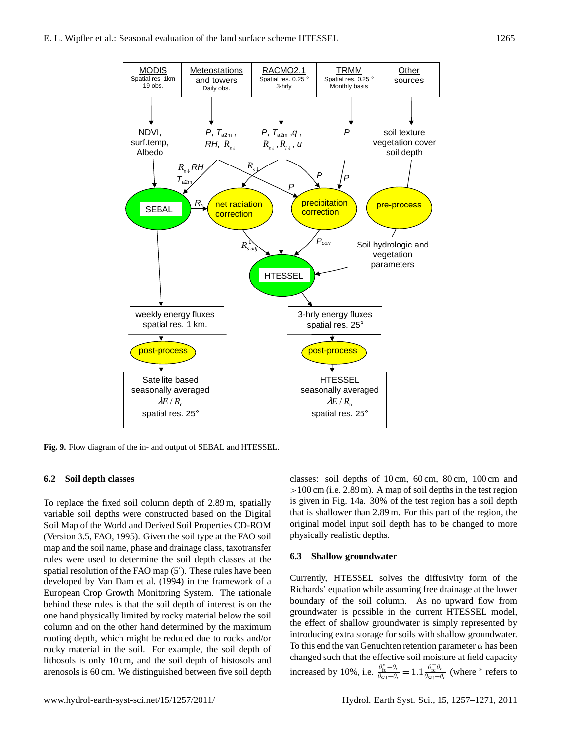

**Fig. 9.** Flow diagram of the in- and output of SEBAL and HTESSEL.

## **6.2 Soil depth classes**

To replace the fixed soil column depth of 2.89 m, spatially variable soil depths were constructed based on the Digital Soil Map of the World and Derived Soil Properties CD-ROM (Version 3.5, FAO, 1995). Given the soil type at the FAO soil map and the soil name, phase and drainage class, taxotransfer rules were used to determine the soil depth classes at the spatial resolution of the FAO map  $(5')$ . These rules have been developed by Van Dam et al. (1994) in the framework of a European Crop Growth Monitoring System. The rationale behind these rules is that the soil depth of interest is on the one hand physically limited by rocky material below the soil column and on the other hand determined by the maximum rooting depth, which might be reduced due to rocks and/or rocky material in the soil. For example, the soil depth of lithosols is only 10 cm, and the soil depth of histosols and arenosols is 60 cm. We distinguished between five soil depth classes: soil depths of 10 cm, 60 cm, 80 cm, 100 cm and  $>100$  cm (i.e. 2.89 m). A map of soil depths in the test region is given in Fig. 14a. 30% of the test region has a soil depth that is shallower than 2.89 m. For this part of the region, the original model input soil depth has to be changed to more physically realistic depths.

## **6.3 Shallow groundwater**

Currently, HTESSEL solves the diffusivity form of the Richards' equation while assuming free drainage at the lower boundary of the soil column. As no upward flow from groundwater is possible in the current HTESSEL model, the effect of shallow groundwater is simply represented by introducing extra storage for soils with shallow groundwater. To this end the van Genuchten retention parameter  $\alpha$  has been changed such that the effective soil moisture at field capacity increased by 10%, i.e.  $\frac{\theta_{\text{fc}}^* - \theta_r}{\theta_{\text{sat}} - \theta_r} = 1.1 \frac{\theta_{\text{fc}}^- \theta_r}{\theta_{\text{sat}} - \theta_r}$  (where \* refers to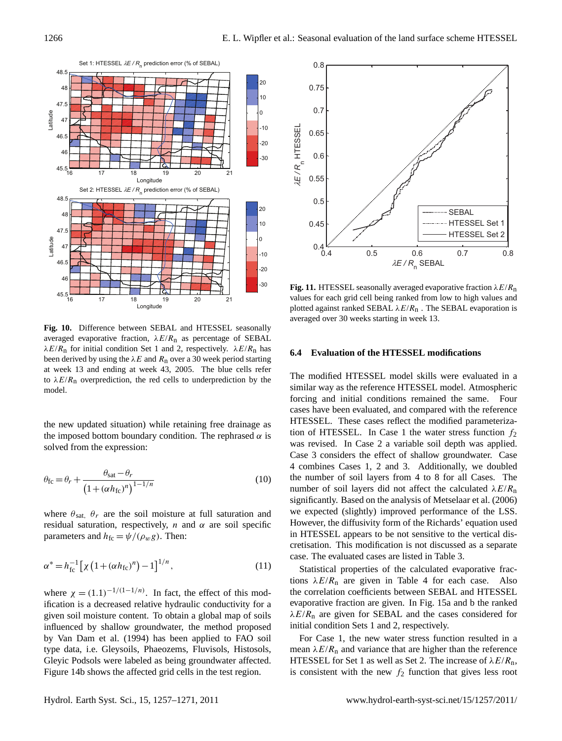

**Fig. 10.** Difference between SEBAL and HTESSEL seasonally averaged evaporative fraction,  $\lambda E/R_{\text{n}}$  as percentage of SEBAL  $\lambda E/R_{\rm n}$  for initial condition Set 1 and 2, respectively.  $\lambda E/R_{\rm n}$  has been derived by using the  $\lambda E$  and  $R_n$  over a 30 week period starting at week 13 and ending at week 43, 2005. The blue cells refer to  $\lambda E/R_n$  overprediction, the red cells to underprediction by the model.

the new updated situation) while retaining free drainage as the imposed bottom boundary condition. The rephrased  $\alpha$  is solved from the expression:

$$
\theta_{\rm fc} = \theta_r + \frac{\theta_{\rm sat} - \theta_r}{\left(1 + \left(\alpha h_{\rm fc}\right)^n\right)^{1 - 1/n}}
$$
\n(10)

where  $\theta_{\text{sat}}$ ,  $\theta_r$  are the soil moisture at full saturation and residual saturation, respectively, *n* and  $\alpha$  are soil specific parameters and  $h_{\text{fc}} = \psi/(\rho_w g)$ . Then:

$$
\alpha^* = h_{\rm fc}^{-1} \left[ \chi \left( 1 + (\alpha h_{\rm fc})^n \right) - 1 \right]^{1/n},\tag{11}
$$

where  $\chi = (1.1)^{-1/(1-1/n)}$ . In fact, the effect of this modification is a decreased relative hydraulic conductivity for a given soil moisture content. To obtain a global map of soils influenced by shallow groundwater, the method proposed by Van Dam et al. (1994) has been applied to FAO soil type data, i.e. Gleysoils, Phaeozems, Fluvisols, Histosols, Gleyic Podsols were labeled as being groundwater affected. Figure 14b shows the affected grid cells in the test region.



**Fig. 11.** HTESSEL seasonally averaged evaporative fraction  $\lambda E/R_n$ values for each grid cell being ranked from low to high values and plotted against ranked SEBAL  $\lambda E/R$ <sub>n</sub>. The SEBAL evaporation is averaged over 30 weeks starting in week 13.

## **6.4 Evaluation of the HTESSEL modifications**

The modified HTESSEL model skills were evaluated in a similar way as the reference HTESSEL model. Atmospheric forcing and initial conditions remained the same. Four cases have been evaluated, and compared with the reference HTESSEL. These cases reflect the modified parameterization of HTESSEL. In Case 1 the water stress function  $f_2$ was revised. In Case 2 a variable soil depth was applied. Case 3 considers the effect of shallow groundwater. Case 4 combines Cases 1, 2 and 3. Additionally, we doubled the number of soil layers from 4 to 8 for all Cases. The number of soil layers did not affect the calculated  $\lambda E/R_{\rm n}$ significantly. Based on the analysis of Metselaar et al. (2006) we expected (slightly) improved performance of the LSS. However, the diffusivity form of the Richards' equation used in HTESSEL appears to be not sensitive to the vertical discretisation. This modification is not discussed as a separate case. The evaluated cases are listed in Table 3.

Statistical properties of the calculated evaporative fractions  $\lambda E/R_n$  are given in Table 4 for each case. Also the correlation coefficients between SEBAL and HTESSEL evaporative fraction are given. In Fig. 15a and b the ranked  $\lambda E/R_{\text{n}}$  are given for SEBAL and the cases considered for initial condition Sets 1 and 2, respectively.

For Case 1, the new water stress function resulted in a mean  $\lambda E/R_n$  and variance that are higher than the reference HTESSEL for Set 1 as well as Set 2. The increase of  $\lambda E/R_{\text{n}}$ , is consistent with the new  $f_2$  function that gives less root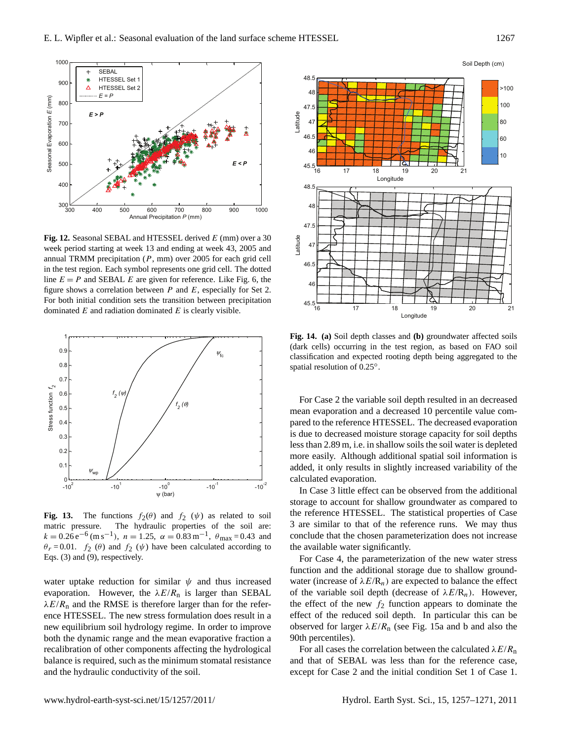

Fig. 12. Seasonal SEBAL and HTESSEL derived E (mm) over a 30 week period starting at week 13 and ending at week 43, 2005 and annual TRMM precipitation  $(P, \, \text{mm})$  over 2005 for each grid cell in the test region. Each symbol represents one grid cell. The dotted line  $E = P$  and SEBAL E are given for reference. Like Fig. 6, the figure shows a correlation between  $P$  and  $E$ , especially for Set 2. For both initial condition sets the transition between precipitation dominated  $E$  and radiation dominated  $E$  is clearly visible.



**Fig. 13.** The functions  $f_2(\theta)$  and  $f_2(\psi)$  as related to soil matric pressure. The hydraulic properties of the soil are:  $k = 0.26 \,\mathrm{e}^{-6} \,\mathrm{(m\,s^{-1})}, \; n = 1.25, \; \alpha = 0.83 \,\mathrm{m}^{-1}, \; \theta_{\text{max}} = 0.43 \; \text{and}$  $\theta_r = 0.01$ .  $f_2(\theta)$  and  $f_2(\psi)$  have been calculated according to Eqs. (3) and (9), respectively.

water uptake reduction for similar  $\psi$  and thus increased evaporation. However, the  $\lambda E/R$ <sub>n</sub> is larger than SEBAL  $\lambda E/R$ <sub>n</sub> and the RMSE is therefore larger than for the reference HTESSEL. The new stress formulation does result in a new equilibrium soil hydrology regime. In order to improve both the dynamic range and the mean evaporative fraction a recalibration of other components affecting the hydrological balance is required, such as the minimum stomatal resistance and the hydraulic conductivity of the soil.



**Fig. 14. (a)** Soil depth classes and **(b)** groundwater affected soils (dark cells) occurring in the test region, as based on FAO soil classification and expected rooting depth being aggregated to the spatial resolution of 0.25°.

For Case 2 the variable soil depth resulted in an decreased mean evaporation and a decreased 10 percentile value compared to the reference HTESSEL. The decreased evaporation is due to decreased moisture storage capacity for soil depths less than 2.89 m, i.e. in shallow soils the soil water is depleted more easily. Although additional spatial soil information is added, it only results in slightly increased variability of the calculated evaporation.

In Case 3 little effect can be observed from the additional storage to account for shallow groundwater as compared to the reference HTESSEL. The statistical properties of Case 3 are similar to that of the reference runs. We may thus conclude that the chosen parameterization does not increase the available water significantly.

For Case 4, the parameterization of the new water stress function and the additional storage due to shallow groundwater (increase of  $\lambda E/R_n$ ) are expected to balance the effect of the variable soil depth (decrease of  $\lambda E/R_n$ ). However, the effect of the new  $f_2$  function appears to dominate the effect of the reduced soil depth. In particular this can be observed for larger  $\lambda E/R$ <sub>n</sub> (see Fig. 15a and b and also the 90th percentiles).

For all cases the correlation between the calculated  $\lambda E/R_n$ and that of SEBAL was less than for the reference case, except for Case 2 and the initial condition Set 1 of Case 1.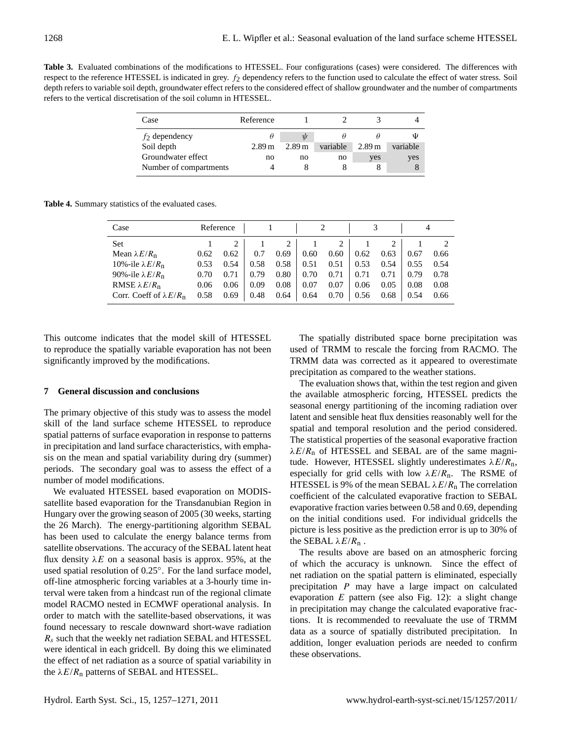**Table 3.** Evaluated combinations of the modifications to HTESSEL. Four configurations (cases) were considered. The differences with respect to the reference HTESSEL is indicated in grey.  $f_2$  dependency refers to the function used to calculate the effect of water stress. Soil depth refers to variable soil depth, groundwater effect refers to the considered effect of shallow groundwater and the number of compartments refers to the vertical discretisation of the soil column in HTESSEL.

| Case                   | Reference |                   |          |                   |          |
|------------------------|-----------|-------------------|----------|-------------------|----------|
| $f_2$ dependency       |           | $\psi$            |          |                   | Ψ        |
| Soil depth             | 2.89 m    | 2.89 <sub>m</sub> | variable | 2.89 <sub>m</sub> | variable |
| Groundwater effect     | no        | no                | no       | yes               | yes      |
| Number of compartments |           |                   |          |                   |          |

**Table 4.** Summary statistics of the evaluated cases.

| Case                                 |      | Reference |      |                |      |      |      |      |      |      |
|--------------------------------------|------|-----------|------|----------------|------|------|------|------|------|------|
| Set                                  |      |           |      | $\overline{2}$ |      | 2    |      |      |      |      |
| Mean $\lambda E/R_{\rm n}$           | 0.62 | 0.62      | 0.7  | 0.69           | 0.60 | 0.60 | 0.62 | 0.63 | 0.67 | 0.66 |
| 10%-ile $\lambda E/R_{\text{n}}$     | 0.53 | 0.54      | 0.58 | 0.58           | 0.51 | 0.51 | 0.53 | 0.54 | 0.55 | 0.54 |
| 90%-ile $\lambda E/R_{\rm n}$        | 0.70 | 0.71      | 0.79 | 0.80           | 0.70 | 0.71 | 0.71 | 0.71 | 0.79 | 0.78 |
| RMSE $\lambda E/R_n$                 | 0.06 | 0.06      | 0.09 | 0.08           | 0.07 | 0.07 | 0.06 | 0.05 | 0.08 | 0.08 |
| Corr. Coeff of $\lambda E/R_{\rm n}$ | 0.58 | 0.69      | 0.48 | 0.64           | 0.64 | 0.70 | 0.56 | 0.68 | 0.54 | 0.66 |

This outcome indicates that the model skill of HTESSEL to reproduce the spatially variable evaporation has not been significantly improved by the modifications.

## **7 General discussion and conclusions**

The primary objective of this study was to assess the model skill of the land surface scheme HTESSEL to reproduce spatial patterns of surface evaporation in response to patterns in precipitation and land surface characteristics, with emphasis on the mean and spatial variability during dry (summer) periods. The secondary goal was to assess the effect of a number of model modifications.

We evaluated HTESSEL based evaporation on MODISsatellite based evaporation for the Transdanubian Region in Hungary over the growing season of 2005 (30 weeks, starting the 26 March). The energy-partitioning algorithm SEBAL has been used to calculate the energy balance terms from satellite observations. The accuracy of the SEBAL latent heat flux density  $\lambda E$  on a seasonal basis is approx. 95%, at the used spatial resolution of 0.25°. For the land surface model, off-line atmospheric forcing variables at a 3-hourly time interval were taken from a hindcast run of the regional climate model RACMO nested in ECMWF operational analysis. In order to match with the satellite-based observations, it was found necessary to rescale downward short-wave radiation  $R<sub>s</sub>$  such that the weekly net radiation SEBAL and HTESSEL were identical in each gridcell. By doing this we eliminated the effect of net radiation as a source of spatial variability in the  $\lambda E/R$ <sub>n</sub> patterns of SEBAL and HTESSEL.

The spatially distributed space borne precipitation was used of TRMM to rescale the forcing from RACMO. The TRMM data was corrected as it appeared to overestimate precipitation as compared to the weather stations.

The evaluation shows that, within the test region and given the available atmospheric forcing, HTESSEL predicts the seasonal energy partitioning of the incoming radiation over latent and sensible heat flux densities reasonably well for the spatial and temporal resolution and the period considered. The statistical properties of the seasonal evaporative fraction  $\lambda E/R_n$  of HTESSEL and SEBAL are of the same magnitude. However, HTESSEL slightly underestimates  $\lambda E/R_{\text{n}}$ , especially for grid cells with low  $\lambda E/R$ <sub>n</sub>. The RSME of HTESSEL is 9% of the mean SEBAL  $\lambda E/R_n$  The correlation coefficient of the calculated evaporative fraction to SEBAL evaporative fraction varies between 0.58 and 0.69, depending on the initial conditions used. For individual gridcells the picture is less positive as the prediction error is up to 30% of the SEBAL  $\lambda E/R_n$ .

The results above are based on an atmospheric forcing of which the accuracy is unknown. Since the effect of net radiation on the spatial pattern is eliminated, especially precipitation P may have a large impact on calculated evaporation  $E$  pattern (see also Fig. 12): a slight change in precipitation may change the calculated evaporative fractions. It is recommended to reevaluate the use of TRMM data as a source of spatially distributed precipitation. In addition, longer evaluation periods are needed to confirm these observations.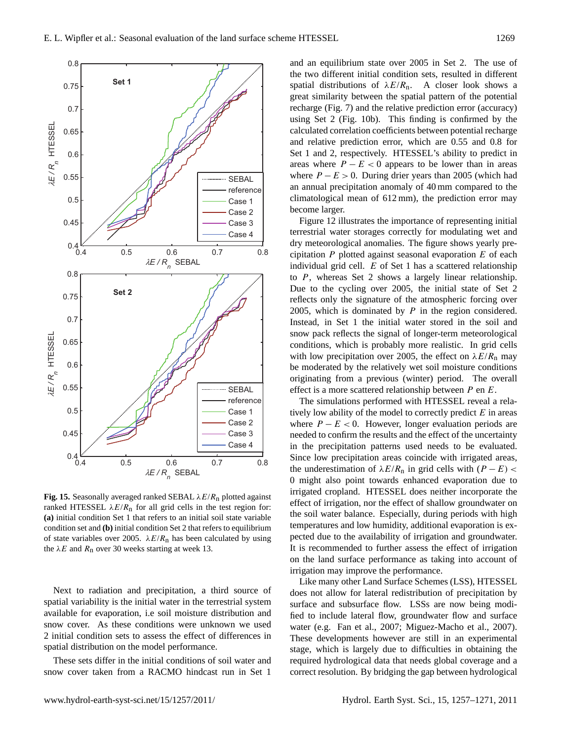

**Fig. 15.** Seasonally averaged ranked SEBAL  $\lambda E/R_n$  plotted against ranked HTESSEL  $\lambda E/R$ <sub>n</sub> for all grid cells in the test region for: **(a)** initial condition Set 1 that refers to an initial soil state variable condition set and **(b)** initial condition Set 2 that refers to equilibrium of state variables over 2005.  $\lambda E/R_n$  has been calculated by using the  $\lambda E$  and  $R_n$  over 30 weeks starting at week 13.

Next to radiation and precipitation, a third source of spatial variability is the initial water in the terrestrial system available for evaporation, i.e soil moisture distribution and snow cover. As these conditions were unknown we used 2 initial condition sets to assess the effect of differences in spatial distribution on the model performance.

These sets differ in the initial conditions of soil water and snow cover taken from a RACMO hindcast run in Set 1

and an equilibrium state over 2005 in Set 2. The use of the two different initial condition sets, resulted in different spatial distributions of  $\lambda E/R_n$ . A closer look shows a great similarity between the spatial pattern of the potential recharge (Fig. 7) and the relative prediction error (accuracy) calculated correlation coefficients between potential recharge and relative prediction error, which are 0.55 and 0.8 for Set 1 and 2, respectively. HTESSEL's ability to predict in areas where  $P - E < 0$  appears to be lower than in areas where  $P - E > 0$ . During drier years than 2005 (which had an annual precipitation anomaly of 40 mm compared to the climatological mean of 612 mm), the prediction error may become larger.

Figure 12 illustrates the importance of representing initial terrestrial water storages correctly for modulating wet and dry meteorological anomalies. The figure shows yearly precipitation  $P$  plotted against seasonal evaporation  $E$  of each individual grid cell.  $E$  of Set 1 has a scattered relationship to P, whereas Set 2 shows a largely linear relationship. Due to the cycling over 2005, the initial state of Set 2 reflects only the signature of the atmospheric forcing over 2005, which is dominated by  $P$  in the region considered. Instead, in Set 1 the initial water stored in the soil and snow pack reflects the signal of longer-term meteorological conditions, which is probably more realistic. In grid cells with low precipitation over 2005, the effect on  $\lambda E/R_n$  may be moderated by the relatively wet soil moisture conditions originating from a previous (winter) period. The overall effect is a more scattered relationship between P en E.

The simulations performed with HTESSEL reveal a relatively low ability of the model to correctly predict  $E$  in areas where  $P - E < 0$ . However, longer evaluation periods are needed to confirm the results and the effect of the uncertainty in the precipitation patterns used needs to be evaluated. Since low precipitation areas coincide with irrigated areas, the underestimation of  $\lambda E/R_n$  in grid cells with  $(P - E)$  < 0 might also point towards enhanced evaporation due to irrigated cropland. HTESSEL does neither incorporate the effect of irrigation, nor the effect of shallow groundwater on the soil water balance. Especially, during periods with high temperatures and low humidity, additional evaporation is expected due to the availability of irrigation and groundwater. It is recommended to further assess the effect of irrigation on the land surface performance as taking into account of irrigation may improve the performance.

Like many other Land Surface Schemes (LSS), HTESSEL does not allow for lateral redistribution of precipitation by surface and subsurface flow. LSSs are now being modified to include lateral flow, groundwater flow and surface water (e.g. Fan et al., 2007; Miguez-Macho et al., 2007). These developments however are still in an experimental stage, which is largely due to difficulties in obtaining the required hydrological data that needs global coverage and a correct resolution. By bridging the gap between hydrological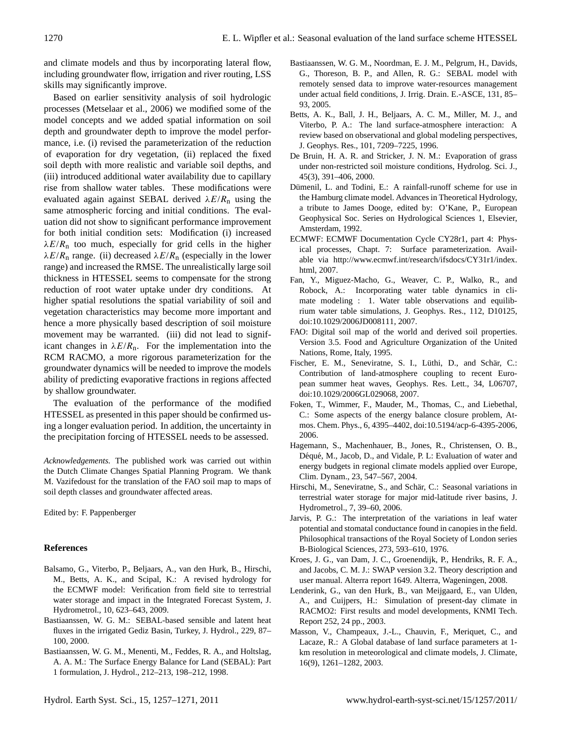and climate models and thus by incorporating lateral flow, including groundwater flow, irrigation and river routing, LSS skills may significantly improve.

Based on earlier sensitivity analysis of soil hydrologic processes (Metselaar et al., 2006) we modified some of the model concepts and we added spatial information on soil depth and groundwater depth to improve the model performance, i.e. (i) revised the parameterization of the reduction of evaporation for dry vegetation, (ii) replaced the fixed soil depth with more realistic and variable soil depths, and (iii) introduced additional water availability due to capillary rise from shallow water tables. These modifications were evaluated again against SEBAL derived  $\lambda E/R_n$  using the same atmospheric forcing and initial conditions. The evaluation did not show to significant performance improvement for both initial condition sets: Modification (i) increased  $\lambda E/R_{\text{n}}$  too much, especially for grid cells in the higher  $\lambda E/R_{\text{n}}$  range. (ii) decreased  $\lambda E/R_{\text{n}}$  (especially in the lower range) and increased the RMSE. The unrealistically large soil thickness in HTESSEL seems to compensate for the strong reduction of root water uptake under dry conditions. At higher spatial resolutions the spatial variability of soil and vegetation characteristics may become more important and hence a more physically based description of soil moisture movement may be warranted. (iii) did not lead to significant changes in  $\lambda E/R$ <sub>n</sub>. For the implementation into the RCM RACMO, a more rigorous parameterization for the groundwater dynamics will be needed to improve the models ability of predicting evaporative fractions in regions affected by shallow groundwater.

The evaluation of the performance of the modified HTESSEL as presented in this paper should be confirmed using a longer evaluation period. In addition, the uncertainty in the precipitation forcing of HTESSEL needs to be assessed.

*Acknowledgements.* The published work was carried out within the Dutch Climate Changes Spatial Planning Program. We thank M. Vazifedoust for the translation of the FAO soil map to maps of soil depth classes and groundwater affected areas.

Edited by: F. Pappenberger

## **References**

- Balsamo, G., Viterbo, P., Beljaars, A., van den Hurk, B., Hirschi, M., Betts, A. K., and Scipal, K.: A revised hydrology for the ECMWF model: Verification from field site to terrestrial water storage and impact in the Integrated Forecast System, J. Hydrometrol., 10, 623–643, 2009.
- Bastiaanssen, W. G. M.: SEBAL-based sensible and latent heat fluxes in the irrigated Gediz Basin, Turkey, J. Hydrol., 229, 87– 100, 2000.
- Bastiaanssen, W. G. M., Menenti, M., Feddes, R. A., and Holtslag, A. A. M.: The Surface Energy Balance for Land (SEBAL): Part 1 formulation, J. Hydrol., 212–213, 198–212, 1998.
- Bastiaanssen, W. G. M., Noordman, E. J. M., Pelgrum, H., Davids, G., Thoreson, B. P., and Allen, R. G.: SEBAL model with remotely sensed data to improve water-resources management under actual field conditions, J. Irrig. Drain. E.-ASCE, 131, 85– 93, 2005.
- Betts, A. K., Ball, J. H., Beljaars, A. C. M., Miller, M. J., and Viterbo, P. A.: The land surface-atmosphere interaction: A review based on observational and global modeling perspectives, J. Geophys. Res., 101, 7209–7225, 1996.
- De Bruin, H. A. R. and Stricker, J. N. M.: Evaporation of grass under non-restricted soil moisture conditions, Hydrolog. Sci. J., 45(3), 391–406, 2000.
- Dümenil, L. and Todini, E.: A rainfall-runoff scheme for use in the Hamburg climate model. Advances in Theoretical Hydrology, a tribute to James Dooge, edited by: O'Kane, P., European Geophysical Soc. Series on Hydrological Sciences 1, Elsevier, Amsterdam, 1992.
- ECMWF: ECMWF Documentation Cycle CY28r1, part 4: Physical processes, Chapt. 7: Surface parameterization. Available via [http://www.ecmwf.int/research/ifsdocs/CY31r1/index.](http://www.ecmwf.int/research/ifsdocs/CY31r1/index.html) [html,](http://www.ecmwf.int/research/ifsdocs/CY31r1/index.html) 2007.
- Fan, Y., Miguez-Macho, G., Weaver, C. P., Walko, R., and Robock, A.: Incorporating water table dynamics in climate modeling : 1. Water table observations and equilibrium water table simulations, J. Geophys. Res., 112, D10125, [doi:10.1029/2006JD008111,](http://dx.doi.org/10.1029/2006JD008111) 2007.
- FAO: Digital soil map of the world and derived soil properties. Version 3.5. Food and Agriculture Organization of the United Nations, Rome, Italy, 1995.
- Fischer, E. M., Seneviratne, S. I., Lüthi, D., and Schär, C.: Contribution of land-atmosphere coupling to recent European summer heat waves, Geophys. Res. Lett., 34, L06707, [doi:10.1029/2006GL029068,](http://dx.doi.org/10.1029/2006GL029068) 2007.
- Foken, T., Wimmer, F., Mauder, M., Thomas, C., and Liebethal, C.: Some aspects of the energy balance closure problem, Atmos. Chem. Phys., 6, 4395–4402, [doi:10.5194/acp-6-4395-2006,](http://dx.doi.org/10.5194/acp-6-4395-2006) 2006.
- Hagemann, S., Machenhauer, B., Jones, R., Christensen, O. B., Déqué, M., Jacob, D., and Vidale, P. L: Evaluation of water and energy budgets in regional climate models applied over Europe, Clim. Dynam., 23, 547–567, 2004.
- Hirschi, M., Seneviratne, S., and Schär, C.: Seasonal variations in terrestrial water storage for major mid-latitude river basins, J. Hydrometrol., 7, 39–60, 2006.
- Jarvis, P. G.: The interpretation of the variations in leaf water potential and stomatal conductance found in canopies in the field. Philosophical transactions of the Royal Society of London series B-Biological Sciences, 273, 593–610, 1976.
- Kroes, J. G., van Dam, J. C., Groenendijk, P., Hendriks, R. F. A., and Jacobs, C. M. J.: SWAP version 3.2. Theory description and user manual. Alterra report 1649. Alterra, Wageningen, 2008.
- Lenderink, G., van den Hurk, B., van Meijgaard, E., van Ulden, A., and Cuijpers, H.: Simulation of present-day climate in RACMO2: First results and model developments, KNMI Tech. Report 252, 24 pp., 2003.
- Masson, V., Champeaux, J.-L., Chauvin, F., Meriquet, C., and Lacaze, R.: A Global database of land surface parameters at 1 km resolution in meteorological and climate models, J. Climate, 16(9), 1261–1282, 2003.